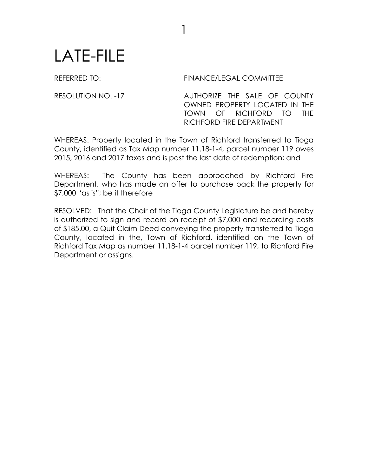## LATE-FILE

REFERRED TO: FINANCE/LEGAL COMMITTEE

RESOLUTION NO. -17 AUTHORIZE THE SALE OF COUNTY OWNED PROPERTY LOCATED IN THE TOWN OF RICHFORD TO THE RICHFORD FIRE DEPARTMENT

WHEREAS: Property located in the Town of Richford transferred to Tioga County, identified as Tax Map number 11.18-1-4, parcel number 119 owes 2015, 2016 and 2017 taxes and is past the last date of redemption; and

1

WHEREAS: The County has been approached by Richford Fire Department, who has made an offer to purchase back the property for \$7,000 "as is"; be it therefore

RESOLVED: That the Chair of the Tioga County Legislature be and hereby is authorized to sign and record on receipt of \$7,000 and recording costs of \$185.00, a Quit Claim Deed conveying the property transferred to Tioga County, located in the, Town of Richford, identified on the Town of Richford Tax Map as number 11.18-1-4 parcel number 119, to Richford Fire Department or assigns.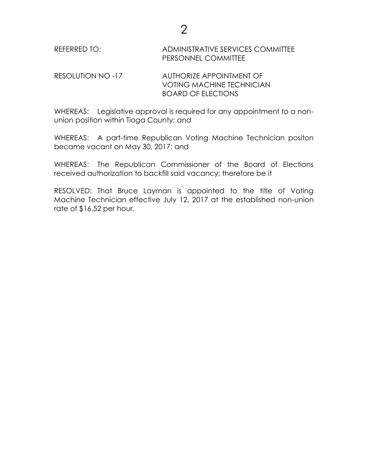## REFERRED TO: ADMINISTRATIVE SERVICES COMMITTEE PERSONNEL COMMITTEE

## RESOLUTION NO -17 AUTHORIZE APPOINTMENT OF VOTING MACHINE TECHNICIAN BOARD OF ELECTIONS

WHEREAS: Legislative approval is required for any appointment to a nonunion position within Tioga County; and

WHEREAS: A part-time Republican Voting Machine Technician positon became vacant on May 30, 2017; and

WHEREAS: The Republican Commissioner of the Board of Elections received authorization to backfill said vacancy; therefore be it

RESOLVED: That Bruce Layman is appointed to the title of Voting Machine Technician effective July 12, 2017 at the established non-union rate of \$16.52 per hour.